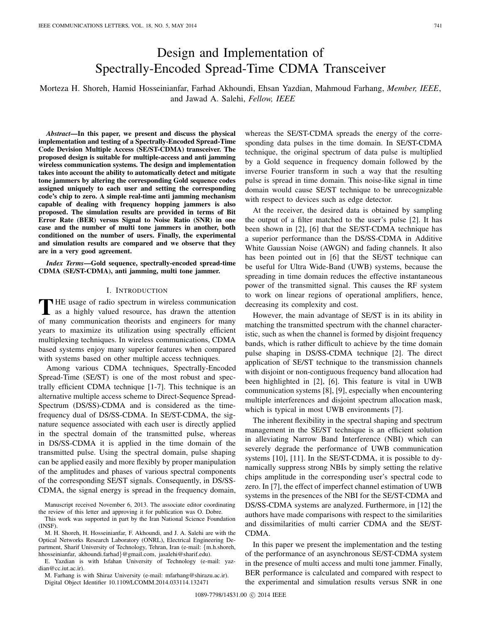# Design and Implementation of Spectrally-Encoded Spread-Time CDMA Transceiver

Morteza H. Shoreh, Hamid Hosseinianfar, Farhad Akhoundi, Ehsan Yazdian, Mahmoud Farhang, *Member, IEEE*, and Jawad A. Salehi, *Fellow, IEEE*

*Abstract***—In this paper, we present and discuss the physical implementation and testing of a Spectrally-Encoded Spread-Time Code Devision Multiple Access (SE/ST-CDMA) transceiver. The proposed design is suitable for multiple-access and anti jamming wireless communication systems. The design and implementation takes into account the ability to automatically detect and mitigate tone jammers by altering the corresponding Gold sequence codes assigned uniquely to each user and setting the corresponding code's chip to zero. A simple real-time anti jamming mechanism capable of dealing with frequency hopping jammers is also proposed. The simulation results are provided in terms of Bit Error Rate (BER) versus Signal to Noise Ratio (SNR) in one case and the number of multi tone jammers in another, both conditioned on the number of users. Finally, the experimental and simulation results are compared and we observe that they are in a very good agreement.**

*Index Terms***—Gold sequence, spectrally-encoded spread-time CDMA (SE/ST-CDMA), anti jamming, multi tone jammer.**

## I. INTRODUCTION

**T** HE usage of radio spectrum in wireless communication as a highly valued resource, has drawn the attention of many communication theorists and engineers for many years to maximize its utilization using spectrally efficient multiplexing techniques. In wireless communications, CDMA based systems enjoy many superior features when compared with systems based on other multiple access techniques.

Among various CDMA techniques, Spectrally-Encoded Spread-Time (SE/ST) is one of the most robust and spectrally efficient CDMA technique [1-7]. This technique is an alternative multiple access scheme to Direct-Sequence Spread-Spectrum (DS/SS)-CDMA and is considered as the timefrequency dual of DS/SS-CDMA. In SE/ST-CDMA, the signature sequence associated with each user is directly applied in the spectral domain of the transmitted pulse, whereas in DS/SS-CDMA it is applied in the time domain of the transmitted pulse. Using the spectral domain, pulse shaping can be applied easily and more flexibly by proper manipulation of the amplitudes and phases of various spectral components of the corresponding SE/ST signals. Consequently, in DS/SS-CDMA, the signal energy is spread in the frequency domain,

Manuscript received November 6, 2013. The associate editor coordinating the review of this letter and approving it for publication was O. Dobre.

This work was supported in part by the Iran National Science Foundation (INSF).

M. H. Shoreh, H. Hosseinianfar, F. Akhoundi, and J. A. Salehi are with the Optical Networks Research Laboratory (ONRL), Electrical Engineering Department, Sharif University of Technology, Tehran, Iran (e-mail: {m.h.shoreh, hhosseinianfar, akhoundi.farhad}@gmail.com, jasalehi@sharif.edu).

E. Yazdian is with Isfahan University of Technology (e-mail: yazdian@cc.iut.ac.ir).

M. Farhang is with Shiraz University (e-mail: mfarhang@shirazu.ac.ir). Digital Object Identifier 10.1109/LCOMM.2014.033114.132471

whereas the SE/ST-CDMA spreads the energy of the corresponding data pulses in the time domain. In SE/ST-CDMA technique, the original spectrum of data pulse is multiplied by a Gold sequence in frequency domain followed by the inverse Fourier transform in such a way that the resulting pulse is spread in time domain. This noise-like signal in time domain would cause SE/ST technique to be unrecognizable with respect to devices such as edge detector.

At the receiver, the desired data is obtained by sampling the output of a filter matched to the user's pulse [2]. It has been shown in [2], [6] that the SE/ST-CDMA technique has a superior performance than the DS/SS-CDMA in Additive White Gaussian Noise (AWGN) and fading channels. It also has been pointed out in [6] that the SE/ST technique can be useful for Ultra Wide-Band (UWB) systems, because the spreading in time domain reduces the effective instantaneous power of the transmitted signal. This causes the RF system to work on linear regions of operational amplifiers, hence, decreasing its complexity and cost.

However, the main advantage of SE/ST is in its ability in matching the transmitted spectrum with the channel characteristic, such as when the channel is formed by disjoint frequency bands, which is rather difficult to achieve by the time domain pulse shaping in DS/SS-CDMA technique [2]. The direct application of SE/ST technique to the transmission channels with disjoint or non-contiguous frequency band allocation had been highlighted in [2], [6]. This feature is vital in UWB communication systems [8], [9], especially when encountering multiple interferences and disjoint spectrum allocation mask, which is typical in most UWB environments [7].

The inherent flexibility in the spectral shaping and spectrum management in the SE/ST technique is an efficient solution in alleviating Narrow Band Interference (NBI) which can severely degrade the performance of UWB communication systems [10], [11]. In the SE/ST-CDMA, it is possible to dynamically suppress strong NBIs by simply setting the relative chips amplitude in the corresponding user's spectral code to zero. In [7], the effect of imperfect channel estimation of UWB systems in the presences of the NBI for the SE/ST-CDMA and DS/SS-CDMA systems are analyzed. Furthermore, in [12] the authors have made comparisons with respect to the similarities and dissimilarities of multi carrier CDMA and the SE/ST-CDMA.

In this paper we present the implementation and the testing of the performance of an asynchronous SE/ST-CDMA system in the presence of multi access and multi tone jammer. Finally, BER performance is calculated and compared with respect to the experimental and simulation results versus SNR in one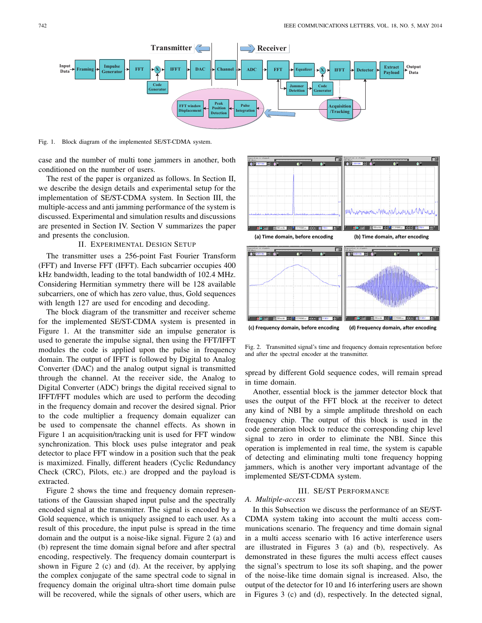

Fig. 1. Block diagram of the implemented SE/ST-CDMA system.

case and the number of multi tone jammers in another, both conditioned on the number of users.

The rest of the paper is organized as follows. In Section II, we describe the design details and experimental setup for the implementation of SE/ST-CDMA system. In Section III, the multiple-access and anti jamming performance of the system is discussed. Experimental and simulation results and discussions are presented in Section IV. Section V summarizes the paper and presents the conclusion.

#### II. EXPERIMENTAL DESIGN SETUP

The transmitter uses a 256-point Fast Fourier Transform (FFT) and Inverse FFT (IFFT). Each subcarrier occupies 400 kHz bandwidth, leading to the total bandwidth of 102.4 MHz. Considering Hermitian symmetry there will be 128 available subcarriers, one of which has zero value, thus, Gold sequences with length 127 are used for encoding and decoding.

The block diagram of the transmitter and receiver scheme for the implemented SE/ST-CDMA system is presented in Figure 1. At the transmitter side an impulse generator is used to generate the impulse signal, then using the FFT/IFFT modules the code is applied upon the pulse in frequency domain. The output of IFFT is followed by Digital to Analog Converter (DAC) and the analog output signal is transmitted through the channel. At the receiver side, the Analog to Digital Converter (ADC) brings the digital received signal to IFFT/FFT modules which are used to perform the decoding in the frequency domain and recover the desired signal. Prior to the code multiplier a frequency domain equalizer can be used to compensate the channel effects. As shown in Figure 1 an acquisition/tracking unit is used for FFT window synchronization. This block uses pulse integrator and peak detector to place FFT window in a position such that the peak is maximized. Finally, different headers (Cyclic Redundancy Check (CRC), Pilots, etc.) are dropped and the payload is extracted.

Figure 2 shows the time and frequency domain representations of the Gaussian shaped input pulse and the spectrally encoded signal at the transmitter. The signal is encoded by a Gold sequence, which is uniquely assigned to each user. As a result of this procedure, the input pulse is spread in the time domain and the output is a noise-like signal. Figure 2 (a) and (b) represent the time domain signal before and after spectral encoding, respectively. The frequency domain counterpart is shown in Figure 2 (c) and (d). At the receiver, by applying the complex conjugate of the same spectral code to signal in frequency domain the original ultra-short time domain pulse will be recovered, while the signals of other users, which are



**(c) Frequency domain, before encoding (d) Frequency domain, after encoding**

Fig. 2. Transmitted signal's time and frequency domain representation before and after the spectral encoder at the transmitter.

spread by different Gold sequence codes, will remain spread in time domain.

Another, essential block is the jammer detector block that uses the output of the FFT block at the receiver to detect any kind of NBI by a simple amplitude threshold on each frequency chip. The output of this block is used in the code generation block to reduce the corresponding chip level signal to zero in order to eliminate the NBI. Since this operation is implemented in real time, the system is capable of detecting and eliminating multi tone frequency hopping jammers, which is another very important advantage of the implemented SE/ST-CDMA system.

#### III. SE/ST PERFORMANCE

#### *A. Multiple-access*

In this Subsection we discuss the performance of an SE/ST-CDMA system taking into account the multi access communications scenario. The frequency and time domain signal in a multi access scenario with 16 active interference users are illustrated in Figures 3 (a) and (b), respectively. As demonstrated in these figures the multi access effect causes the signal's spectrum to lose its soft shaping, and the power of the noise-like time domain signal is increased. Also, the output of the detector for 10 and 16 interfering users are shown in Figures 3 (c) and (d), respectively. In the detected signal,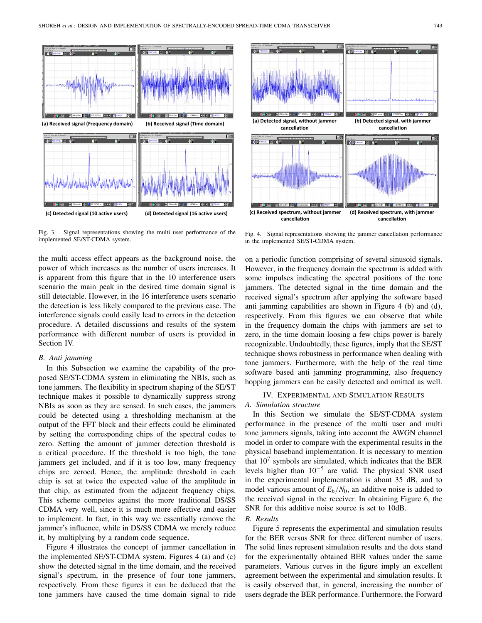

Fig. 3. Signal representations showing the multi user performance of the implemented SE/ST-CDMA system.

the multi access effect appears as the background noise, the power of which increases as the number of users increases. It is apparent from this figure that in the 10 interference users scenario the main peak in the desired time domain signal is still detectable. However, in the 16 interference users scenario the detection is less likely compared to the previous case. The interference signals could easily lead to errors in the detection procedure. A detailed discussions and results of the system performance with different number of users is provided in Section IV.

### *B. Anti jamming*

In this Subsection we examine the capability of the proposed SE/ST-CDMA system in eliminating the NBIs, such as tone jammers. The flexibility in spectrum shaping of the SE/ST technique makes it possible to dynamically suppress strong NBIs as soon as they are sensed. In such cases, the jammers could be detected using a thresholding mechanism at the output of the FFT block and their effects could be eliminated by setting the corresponding chips of the spectral codes to zero. Setting the amount of jammer detection threshold is a critical procedure. If the threshold is too high, the tone jammers get included, and if it is too low, many frequency chips are zeroed. Hence, the amplitude threshold in each chip is set at twice the expected value of the amplitude in that chip, as estimated from the adjacent frequency chips. This scheme competes against the more traditional DS/SS CDMA very well, since it is much more effective and easier to implement. In fact, in this way we essentially remove the jammer's influence, while in DS/SS CDMA we merely reduce it, by multiplying by a random code sequence.

Figure 4 illustrates the concept of jammer cancellation in the implemented SE/ST-CDMA system. Figures 4 (a) and (c) show the detected signal in the time domain, and the received signal's spectrum, in the presence of four tone jammers, respectively. From these figures it can be deduced that the tone jammers have caused the time domain signal to ride



Fig. 4. Signal representations showing the jammer cancellation performance in the implemented SE/ST-CDMA system.

on a periodic function comprising of several sinusoid signals. However, in the frequency domain the spectrum is added with some impulses indicating the spectral positions of the tone jammers. The detected signal in the time domain and the received signal's spectrum after applying the software based anti jamming capabilities are shown in Figure 4 (b) and (d), respectively. From this figures we can observe that while in the frequency domain the chips with jammers are set to zero, in the time domain loosing a few chips power is barely recognizable. Undoubtedly, these figures, imply that the SE/ST technique shows robustness in performance when dealing with tone jammers. Furthermore, with the help of the real time software based anti jamming programming, also frequency hopping jammers can be easily detected and omitted as well.

### IV. EXPERIMENTAL AND SIMULATION RESULTS

#### *A. Simulation structure*

In this Section we simulate the SE/ST-CDMA system performance in the presence of the multi user and multi tone jammers signals, taking into account the AWGN channel model in order to compare with the experimental results in the physical baseband implementation. It is necessary to mention that  $10<sup>7</sup>$  symbols are simulated, which indicates that the BER levels higher than 10−<sup>5</sup> are valid. The physical SNR used in the experimental implementation is about 35 dB, and to model various amount of  $E_b/N_0$ , an additive noise is added to the received signal in the receiver. In obtaining Figure 6, the SNR for this additive noise source is set to 10dB.

# *B. Results*

Figure 5 represents the experimental and simulation results for the BER versus SNR for three different number of users. The solid lines represent simulation results and the dots stand for the experimentally obtained BER values under the same parameters. Various curves in the figure imply an excellent agreement between the experimental and simulation results. It is easily observed that, in general, increasing the number of users degrade the BER performance. Furthermore, the Forward